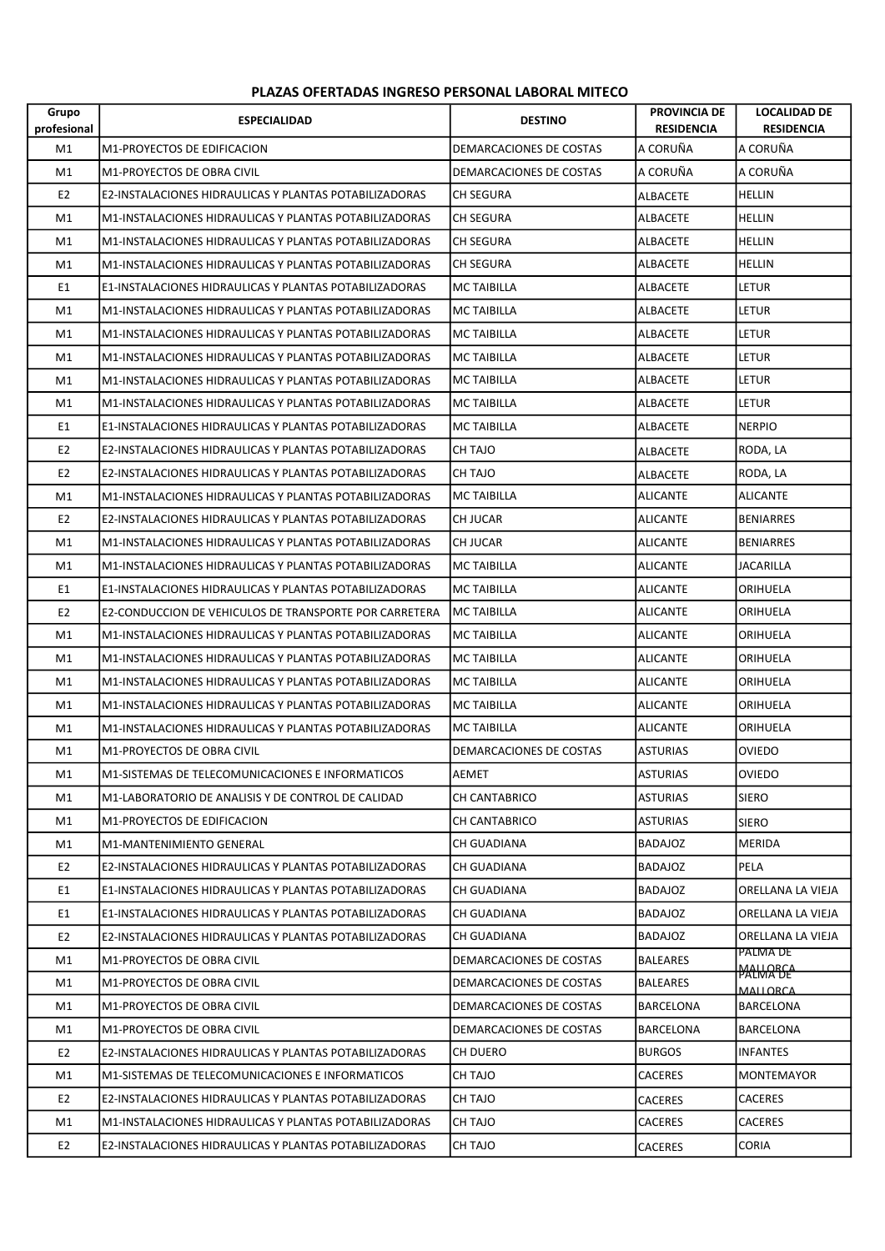## PLAZAS OFERTADAS INGRESO PERSONAL LABORAL MITECO

| Grupo<br>profesional | <b>ESPECIALIDAD</b>                                    | <b>DESTINO</b>          | <b>PROVINCIA DE</b><br><b>RESIDENCIA</b> | <b>LOCALIDAD DE</b><br><b>RESIDENCIA</b> |
|----------------------|--------------------------------------------------------|-------------------------|------------------------------------------|------------------------------------------|
| M1                   | M1-PROYECTOS DE EDIFICACION                            | DEMARCACIONES DE COSTAS | A CORUÑA                                 | A CORUÑA                                 |
| M1                   | M1-PROYECTOS DE OBRA CIVIL                             | DEMARCACIONES DE COSTAS | A CORUÑA                                 | A CORUÑA                                 |
| E <sub>2</sub>       | E2-INSTALACIONES HIDRAULICAS Y PLANTAS POTABILIZADORAS | <b>CH SEGURA</b>        | ALBACETE                                 | <b>HELLIN</b>                            |
| M1                   | M1-INSTALACIONES HIDRAULICAS Y PLANTAS POTABILIZADORAS | <b>CH SEGURA</b>        | ALBACETE                                 | <b>HELLIN</b>                            |
| M1                   | M1-INSTALACIONES HIDRAULICAS Y PLANTAS POTABILIZADORAS | CH SEGURA               | ALBACETE                                 | <b>HELLIN</b>                            |
| M1                   | M1-INSTALACIONES HIDRAULICAS Y PLANTAS POTABILIZADORAS | <b>CH SEGURA</b>        | ALBACETE                                 | <b>HELLIN</b>                            |
| E1                   | E1-INSTALACIONES HIDRAULICAS Y PLANTAS POTABILIZADORAS | <b>MC TAIBILLA</b>      | ALBACETE                                 | letur                                    |
| M1                   | M1-INSTALACIONES HIDRAULICAS Y PLANTAS POTABILIZADORAS | <b>MC TAIBILLA</b>      | ALBACETE                                 | LETUR                                    |
| M1                   | M1-INSTALACIONES HIDRAULICAS Y PLANTAS POTABILIZADORAS | MC TAIBILLA             | ALBACETE                                 | <b>LETUR</b>                             |
| M1                   | M1-INSTALACIONES HIDRAULICAS Y PLANTAS POTABILIZADORAS | MC TAIBILLA             | ALBACETE                                 | LETUR                                    |
| M1                   | M1-INSTALACIONES HIDRAULICAS Y PLANTAS POTABILIZADORAS | <b>MC TAIBILLA</b>      | ALBACETE                                 | LETUR                                    |
| M1                   | M1-INSTALACIONES HIDRAULICAS Y PLANTAS POTABILIZADORAS | <b>MC TAIBILLA</b>      | ALBACETE                                 | LETUR                                    |
| E1                   | E1-INSTALACIONES HIDRAULICAS Y PLANTAS POTABILIZADORAS | <b>MC TAIBILLA</b>      | ALBACETE                                 | <b>NERPIO</b>                            |
| E <sub>2</sub>       | E2-INSTALACIONES HIDRAULICAS Y PLANTAS POTABILIZADORAS | CH TAJO                 | ALBACETE                                 | RODA, LA                                 |
| E <sub>2</sub>       | E2-INSTALACIONES HIDRAULICAS Y PLANTAS POTABILIZADORAS | CH TAJO                 | ALBACETE                                 | RODA, LA                                 |
| M1                   | M1-INSTALACIONES HIDRAULICAS Y PLANTAS POTABILIZADORAS | <b>MC TAIBILLA</b>      | <b>ALICANTE</b>                          | <b>ALICANTE</b>                          |
| E <sub>2</sub>       | E2-INSTALACIONES HIDRAULICAS Y PLANTAS POTABILIZADORAS | <b>CH JUCAR</b>         | <b>ALICANTE</b>                          | BENIARRES                                |
| M1                   | M1-INSTALACIONES HIDRAULICAS Y PLANTAS POTABILIZADORAS | <b>CH JUCAR</b>         | <b>ALICANTE</b>                          | <b>BENIARRES</b>                         |
| M1                   | M1-INSTALACIONES HIDRAULICAS Y PLANTAS POTABILIZADORAS | MC TAIBILLA             | <b>ALICANTE</b>                          | <b>JACARILLA</b>                         |
| E1                   | E1-INSTALACIONES HIDRAULICAS Y PLANTAS POTABILIZADORAS | MC TAIBILLA             | <b>ALICANTE</b>                          | ORIHUELA                                 |
| E <sub>2</sub>       | E2-CONDUCCION DE VEHICULOS DE TRANSPORTE POR CARRETERA | <b>MC TAIBILLA</b>      | <b>ALICANTE</b>                          | ORIHUELA                                 |
| M1                   | M1-INSTALACIONES HIDRAULICAS Y PLANTAS POTABILIZADORAS | <b>MC TAIBILLA</b>      | <b>ALICANTE</b>                          | ORIHUELA                                 |
| M1                   | M1-INSTALACIONES HIDRAULICAS Y PLANTAS POTABILIZADORAS | MC TAIBILLA             | <b>ALICANTE</b>                          | ORIHUELA                                 |
| M1                   | M1-INSTALACIONES HIDRAULICAS Y PLANTAS POTABILIZADORAS | MC TAIBILLA             | <b>ALICANTE</b>                          | ORIHUELA                                 |
| M1                   | M1-INSTALACIONES HIDRAULICAS Y PLANTAS POTABILIZADORAS | MC TAIBILLA             | ALICANTE                                 | ORIHUELA                                 |
| M1                   | M1-INSTALACIONES HIDRAULICAS Y PLANTAS POTABILIZADORAS | MC TAIBILLA             | <b>ALICANTE</b>                          | ORIHUELA                                 |
| M1                   | M1-PROYECTOS DE OBRA CIVIL                             | DEMARCACIONES DE COSTAS | <b>ASTURIAS</b>                          | <b>OVIEDO</b>                            |
| M1                   | M1-SISTEMAS DE TELECOMUNICACIONES E INFORMATICOS       | <b>AEMET</b>            | <b>ASTURIAS</b>                          | <b>OVIEDO</b>                            |
| M1                   | M1-LABORATORIO DE ANALISIS Y DE CONTROL DE CALIDAD     | CH CANTABRICO           | <b>ASTURIAS</b>                          | <b>SIERO</b>                             |
| M1                   | M1-PROYECTOS DE EDIFICACION                            | CH CANTABRICO           | <b>ASTURIAS</b>                          | <b>SIERO</b>                             |
| M1                   | M1-MANTENIMIENTO GENERAL                               | <b>CH GUADIANA</b>      | <b>BADAJOZ</b>                           | MERIDA                                   |
| E <sub>2</sub>       | E2-INSTALACIONES HIDRAULICAS Y PLANTAS POTABILIZADORAS | CH GUADIANA             | <b>BADAJOZ</b>                           | PELA                                     |
| E1                   | E1-INSTALACIONES HIDRAULICAS Y PLANTAS POTABILIZADORAS | CH GUADIANA             | <b>BADAJOZ</b>                           | ORELLANA LA VIEJA                        |
| E1                   | E1-INSTALACIONES HIDRAULICAS Y PLANTAS POTABILIZADORAS | <b>CH GUADIANA</b>      | <b>BADAJOZ</b>                           | ORELLANA LA VIEJA                        |
| E <sub>2</sub>       | E2-INSTALACIONES HIDRAULICAS Y PLANTAS POTABILIZADORAS | CH GUADIANA             | BADAJOZ                                  | ORELLANA LA VIEJA                        |
| M1                   | M1-PROYECTOS DE OBRA CIVIL                             | DEMARCACIONES DE COSTAS | <b>BALEARES</b>                          | PALMA DE<br><b>MALLORCA</b>              |
| M1                   | M1-PROYECTOS DE OBRA CIVIL                             | DEMARCACIONES DE COSTAS | <b>BALEARES</b>                          | MALLORCA                                 |
| M1                   | M1-PROYECTOS DE OBRA CIVIL                             | DEMARCACIONES DE COSTAS | <b>BARCELONA</b>                         | <b>BARCELONA</b>                         |
| M1                   | M1-PROYECTOS DE OBRA CIVIL                             | DEMARCACIONES DE COSTAS | BARCELONA                                | <b>BARCELONA</b>                         |
| E <sub>2</sub>       | E2-INSTALACIONES HIDRAULICAS Y PLANTAS POTABILIZADORAS | CH DUERO                | <b>BURGOS</b>                            | <b>INFANTES</b>                          |
| M1                   | M1-SISTEMAS DE TELECOMUNICACIONES E INFORMATICOS       | CH TAJO                 | CACERES                                  | MONTEMAYOR                               |
| E <sub>2</sub>       | E2-INSTALACIONES HIDRAULICAS Y PLANTAS POTABILIZADORAS | CH TAJO                 | <b>CACERES</b>                           | <b>CACERES</b>                           |
| M1                   | M1-INSTALACIONES HIDRAULICAS Y PLANTAS POTABILIZADORAS | CH TAJO                 | <b>CACERES</b>                           | <b>CACERES</b>                           |
| E2                   | E2-INSTALACIONES HIDRAULICAS Y PLANTAS POTABILIZADORAS | CH TAJO                 | <b>CACERES</b>                           | CORIA                                    |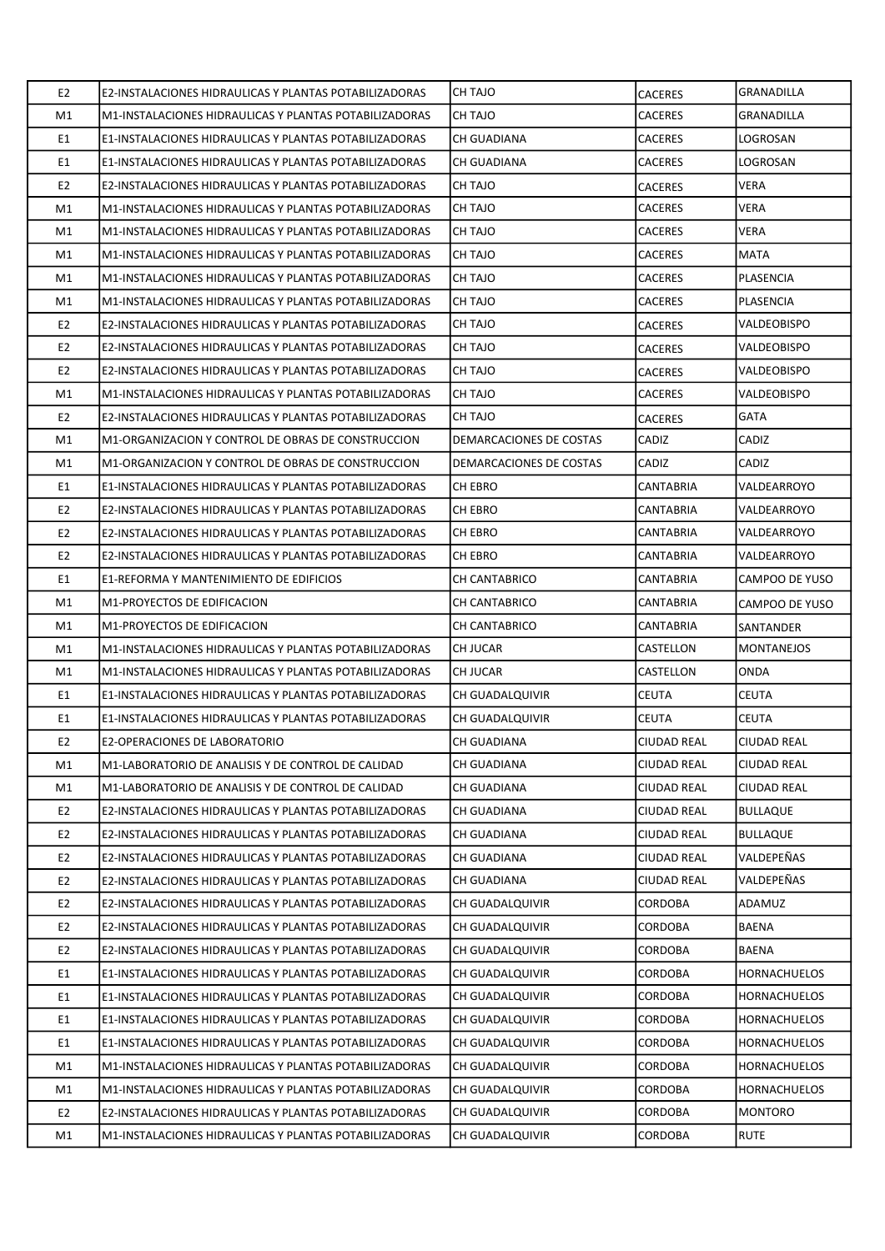| E <sub>2</sub> | E2-INSTALACIONES HIDRAULICAS Y PLANTAS POTABILIZADORAS | <b>CH TAJO</b>          | <b>CACERES</b>     | <b>GRANADILLA</b>   |
|----------------|--------------------------------------------------------|-------------------------|--------------------|---------------------|
| M1             | M1-INSTALACIONES HIDRAULICAS Y PLANTAS POTABILIZADORAS | CH TAJO                 | <b>CACERES</b>     | <b>GRANADILLA</b>   |
| E1             | E1-INSTALACIONES HIDRAULICAS Y PLANTAS POTABILIZADORAS | <b>CH GUADIANA</b>      | <b>CACERES</b>     | LOGROSAN            |
| E1             | E1-INSTALACIONES HIDRAULICAS Y PLANTAS POTABILIZADORAS | CH GUADIANA             | CACERES            | LOGROSAN            |
| E <sub>2</sub> | E2-INSTALACIONES HIDRAULICAS Y PLANTAS POTABILIZADORAS | CH TAJO                 | <b>CACERES</b>     | <b>VERA</b>         |
| M1             | M1-INSTALACIONES HIDRAULICAS Y PLANTAS POTABILIZADORAS | CH TAJO                 | <b>CACERES</b>     | <b>VERA</b>         |
| M1             | M1-INSTALACIONES HIDRAULICAS Y PLANTAS POTABILIZADORAS | CH TAJO                 | <b>CACERES</b>     | <b>VERA</b>         |
| M1             | M1-INSTALACIONES HIDRAULICAS Y PLANTAS POTABILIZADORAS | CH TAJO                 | <b>CACERES</b>     | <b>MATA</b>         |
| M1             | M1-INSTALACIONES HIDRAULICAS Y PLANTAS POTABILIZADORAS | CH TAJO                 | CACERES            | <b>PLASENCIA</b>    |
| M1             | M1-INSTALACIONES HIDRAULICAS Y PLANTAS POTABILIZADORAS | CH TAJO                 | <b>CACERES</b>     | PLASENCIA           |
| E <sub>2</sub> | E2-INSTALACIONES HIDRAULICAS Y PLANTAS POTABILIZADORAS | CH TAJO                 | <b>CACERES</b>     | VALDEOBISPO         |
| E <sub>2</sub> | E2-INSTALACIONES HIDRAULICAS Y PLANTAS POTABILIZADORAS | CH TAJO                 | <b>CACERES</b>     | VALDEOBISPO         |
| E <sub>2</sub> | E2-INSTALACIONES HIDRAULICAS Y PLANTAS POTABILIZADORAS | CH TAJO                 | <b>CACERES</b>     | VALDEOBISPO         |
| M1             | M1-INSTALACIONES HIDRAULICAS Y PLANTAS POTABILIZADORAS | CH TAJO                 | <b>CACERES</b>     | VALDEOBISPO         |
| E <sub>2</sub> | E2-INSTALACIONES HIDRAULICAS Y PLANTAS POTABILIZADORAS | CH TAJO                 | <b>CACERES</b>     | <b>GATA</b>         |
| M1             | M1-ORGANIZACION Y CONTROL DE OBRAS DE CONSTRUCCION     | DEMARCACIONES DE COSTAS | CADIZ              | CADIZ               |
| M1             | M1-ORGANIZACION Y CONTROL DE OBRAS DE CONSTRUCCION     | DEMARCACIONES DE COSTAS | <b>CADIZ</b>       | CADIZ               |
| E1             | E1-INSTALACIONES HIDRAULICAS Y PLANTAS POTABILIZADORAS | CH EBRO                 | <b>CANTABRIA</b>   | VALDEARROYO         |
| E <sub>2</sub> | E2-INSTALACIONES HIDRAULICAS Y PLANTAS POTABILIZADORAS | CH EBRO                 | CANTABRIA          | VALDEARROYO         |
| E <sub>2</sub> | E2-INSTALACIONES HIDRAULICAS Y PLANTAS POTABILIZADORAS | <b>CH EBRO</b>          | CANTABRIA          | VALDEARROYO         |
| E <sub>2</sub> | E2-INSTALACIONES HIDRAULICAS Y PLANTAS POTABILIZADORAS | CH EBRO                 | CANTABRIA          | VALDEARROYO         |
| E1             | E1-REFORMA Y MANTENIMIENTO DE EDIFICIOS                | CH CANTABRICO           | CANTABRIA          | CAMPOO DE YUSO      |
| M1             | M1-PROYECTOS DE EDIFICACION                            | <b>CH CANTABRICO</b>    | <b>CANTABRIA</b>   | CAMPOO DE YUSO      |
| M1             | M1-PROYECTOS DE EDIFICACION                            | CH CANTABRICO           | CANTABRIA          | SANTANDER           |
| M1             | M1-INSTALACIONES HIDRAULICAS Y PLANTAS POTABILIZADORAS | <b>CH JUCAR</b>         | <b>CASTELLON</b>   | <b>MONTANEJOS</b>   |
| M1             | M1-INSTALACIONES HIDRAULICAS Y PLANTAS POTABILIZADORAS | CH JUCAR                | CASTELLON          | ONDA                |
| E1             | E1-INSTALACIONES HIDRAULICAS Y PLANTAS POTABILIZADORAS | CH GUADALQUIVIR         | <b>CEUTA</b>       | <b>CEUTA</b>        |
| E1             | E1-INSTALACIONES HIDRAULICAS Y PLANTAS POTABILIZADORAS | CH GUADALQUIVIR         | <b>CEUTA</b>       | <b>CEUTA</b>        |
| E <sub>2</sub> | E2-OPERACIONES DE LABORATORIO                          | CH GUADIANA             | <b>CIUDAD REAL</b> | <b>CIUDAD REAL</b>  |
| M1             | M1-LABORATORIO DE ANALISIS Y DE CONTROL DE CALIDAD     | <b>CH GUADIANA</b>      | <b>CIUDAD REAL</b> | <b>CIUDAD REAL</b>  |
| M1             | M1-LABORATORIO DE ANALISIS Y DE CONTROL DE CALIDAD     | CH GUADIANA             | <b>CIUDAD REAL</b> | <b>CIUDAD REAL</b>  |
| E <sub>2</sub> | E2-INSTALACIONES HIDRAULICAS Y PLANTAS POTABILIZADORAS | CH GUADIANA             | <b>CIUDAD REAL</b> | <b>BULLAQUE</b>     |
| E <sub>2</sub> | E2-INSTALACIONES HIDRAULICAS Y PLANTAS POTABILIZADORAS | CH GUADIANA             | <b>CIUDAD REAL</b> | <b>BULLAQUE</b>     |
| E <sub>2</sub> | E2-INSTALACIONES HIDRAULICAS Y PLANTAS POTABILIZADORAS | CH GUADIANA             | <b>CIUDAD REAL</b> | VALDEPEÑAS          |
| E <sub>2</sub> | E2-INSTALACIONES HIDRAULICAS Y PLANTAS POTABILIZADORAS | <b>CH GUADIANA</b>      | <b>CIUDAD REAL</b> | VALDEPEÑAS          |
| E <sub>2</sub> | E2-INSTALACIONES HIDRAULICAS Y PLANTAS POTABILIZADORAS | CH GUADALQUIVIR         | CORDOBA            | ADAMUZ              |
| E <sub>2</sub> | E2-INSTALACIONES HIDRAULICAS Y PLANTAS POTABILIZADORAS | CH GUADALQUIVIR         | CORDOBA            | <b>BAENA</b>        |
| E <sub>2</sub> | E2-INSTALACIONES HIDRAULICAS Y PLANTAS POTABILIZADORAS | CH GUADALQUIVIR         | CORDOBA            | BAENA               |
| E1             | E1-INSTALACIONES HIDRAULICAS Y PLANTAS POTABILIZADORAS | CH GUADALQUIVIR         | CORDOBA            | <b>HORNACHUELOS</b> |
| E1             | E1-INSTALACIONES HIDRAULICAS Y PLANTAS POTABILIZADORAS | CH GUADALQUIVIR         | CORDOBA            | <b>HORNACHUELOS</b> |
| E1             | E1-INSTALACIONES HIDRAULICAS Y PLANTAS POTABILIZADORAS | CH GUADALQUIVIR         | CORDOBA            | HORNACHUELOS        |
| E1             | E1-INSTALACIONES HIDRAULICAS Y PLANTAS POTABILIZADORAS | CH GUADALQUIVIR         | CORDOBA            | <b>HORNACHUELOS</b> |
| M1             | M1-INSTALACIONES HIDRAULICAS Y PLANTAS POTABILIZADORAS | CH GUADALQUIVIR         | CORDOBA            | <b>HORNACHUELOS</b> |
| M1             | M1-INSTALACIONES HIDRAULICAS Y PLANTAS POTABILIZADORAS | CH GUADALQUIVIR         | CORDOBA            | <b>HORNACHUELOS</b> |
| E <sub>2</sub> | E2-INSTALACIONES HIDRAULICAS Y PLANTAS POTABILIZADORAS | CH GUADALQUIVIR         | CORDOBA            | <b>MONTORO</b>      |
| M1             | M1-INSTALACIONES HIDRAULICAS Y PLANTAS POTABILIZADORAS | CH GUADALQUIVIR         | CORDOBA            | <b>RUTE</b>         |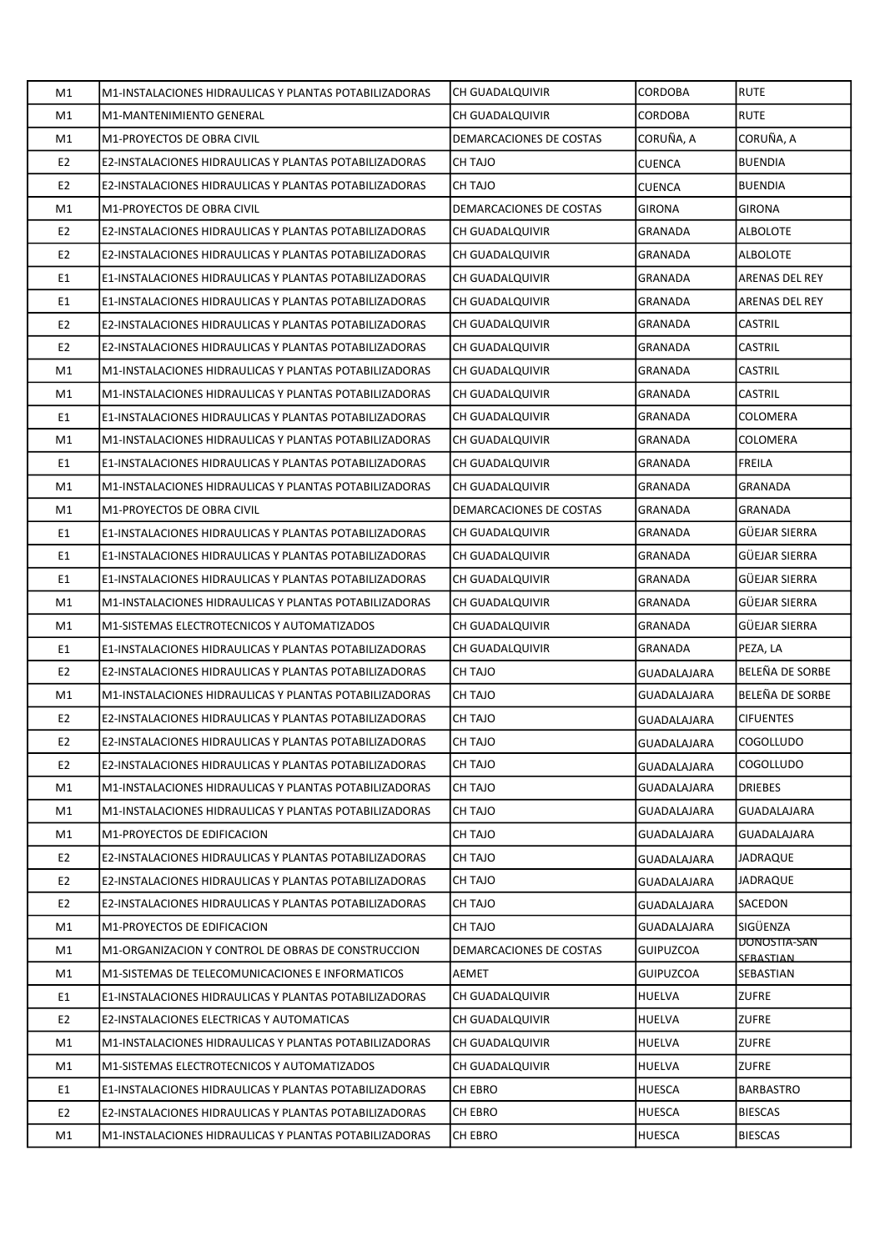| M1             | M1-INSTALACIONES HIDRAULICAS Y PLANTAS POTABILIZADORAS        | <b>CH GUADALQUIVIR</b>  | <b>CORDOBA</b>     | <b>RUTE</b>               |
|----------------|---------------------------------------------------------------|-------------------------|--------------------|---------------------------|
| M1             | M1-MANTENIMIENTO GENERAL                                      | CH GUADALQUIVIR         | <b>CORDOBA</b>     | <b>RUTE</b>               |
| M1             | M1-PROYECTOS DE OBRA CIVIL                                    | DEMARCACIONES DE COSTAS | CORUÑA, A          | CORUÑA, A                 |
| E <sub>2</sub> | E2-INSTALACIONES HIDRAULICAS Y PLANTAS POTABILIZADORAS        | CH TAJO                 | <b>CUENCA</b>      | <b>BUENDIA</b>            |
| E <sub>2</sub> | E2-INSTALACIONES HIDRAULICAS Y PLANTAS POTABILIZADORAS        | CH TAJO                 | <b>CUENCA</b>      | <b>BUENDIA</b>            |
| M1             | M1-PROYECTOS DE OBRA CIVIL                                    | DEMARCACIONES DE COSTAS | <b>GIRONA</b>      | <b>GIRONA</b>             |
| E <sub>2</sub> | E2-INSTALACIONES HIDRAULICAS Y PLANTAS POTABILIZADORAS        | CH GUADALQUIVIR         | <b>GRANADA</b>     | <b>ALBOLOTE</b>           |
| E <sub>2</sub> | E2-INSTALACIONES HIDRAULICAS Y PLANTAS POTABILIZADORAS        | CH GUADALQUIVIR         | <b>GRANADA</b>     | <b>ALBOLOTE</b>           |
| E1             | <b>E1-INSTALACIONES HIDRAULICAS Y PLANTAS POTABILIZADORAS</b> | CH GUADALQUIVIR         | <b>GRANADA</b>     | <b>ARENAS DEL REY</b>     |
| E1             | E1-INSTALACIONES HIDRAULICAS Y PLANTAS POTABILIZADORAS        | CH GUADALQUIVIR         | GRANADA            | ARENAS DEL REY            |
| E <sub>2</sub> | E2-INSTALACIONES HIDRAULICAS Y PLANTAS POTABILIZADORAS        | CH GUADALQUIVIR         | <b>GRANADA</b>     | CASTRIL                   |
| E <sub>2</sub> | E2-INSTALACIONES HIDRAULICAS Y PLANTAS POTABILIZADORAS        | CH GUADALQUIVIR         | GRANADA            | CASTRIL                   |
| M1             | M1-INSTALACIONES HIDRAULICAS Y PLANTAS POTABILIZADORAS        | CH GUADALQUIVIR         | <b>GRANADA</b>     | <b>CASTRIL</b>            |
| M1             | M1-INSTALACIONES HIDRAULICAS Y PLANTAS POTABILIZADORAS        | CH GUADALQUIVIR         | GRANADA            | CASTRIL                   |
| E1             | E1-INSTALACIONES HIDRAULICAS Y PLANTAS POTABILIZADORAS        | CH GUADALQUIVIR         | GRANADA            | COLOMERA                  |
| M1             | M1-INSTALACIONES HIDRAULICAS Y PLANTAS POTABILIZADORAS        | CH GUADALQUIVIR         | <b>GRANADA</b>     | <b>COLOMERA</b>           |
| E1             | E1-INSTALACIONES HIDRAULICAS Y PLANTAS POTABILIZADORAS        | CH GUADALQUIVIR         | <b>GRANADA</b>     | <b>FREILA</b>             |
| M1             | M1-INSTALACIONES HIDRAULICAS Y PLANTAS POTABILIZADORAS        | CH GUADALQUIVIR         | <b>GRANADA</b>     | <b>GRANADA</b>            |
| M1             | M1-PROYECTOS DE OBRA CIVIL                                    | DEMARCACIONES DE COSTAS | <b>GRANADA</b>     | GRANADA                   |
| E1             | E1-INSTALACIONES HIDRAULICAS Y PLANTAS POTABILIZADORAS        | CH GUADALQUIVIR         | GRANADA            | GÜEJAR SIERRA             |
| E1             | E1-INSTALACIONES HIDRAULICAS Y PLANTAS POTABILIZADORAS        | CH GUADALQUIVIR         | <b>GRANADA</b>     | <b>GÜEJAR SIERRA</b>      |
| E <sub>1</sub> | E1-INSTALACIONES HIDRAULICAS Y PLANTAS POTABILIZADORAS        | CH GUADALQUIVIR         | GRANADA            | GÜEJAR SIERRA             |
| M1             | M1-INSTALACIONES HIDRAULICAS Y PLANTAS POTABILIZADORAS        | CH GUADALQUIVIR         | <b>GRANADA</b>     | <b>GÜEJAR SIERRA</b>      |
| M1             | M1-SISTEMAS ELECTROTECNICOS Y AUTOMATIZADOS                   | CH GUADALQUIVIR         | GRANADA            | GÜEJAR SIERRA             |
| E1             | E1-INSTALACIONES HIDRAULICAS Y PLANTAS POTABILIZADORAS        | CH GUADALQUIVIR         | GRANADA            | PEZA, LA                  |
| E <sub>2</sub> | E2-INSTALACIONES HIDRAULICAS Y PLANTAS POTABILIZADORAS        | CH TAJO                 | <b>GUADALAJARA</b> | BELEÑA DE SORBE           |
| M1             | M1-INSTALACIONES HIDRAULICAS Y PLANTAS POTABILIZADORAS        | CH TAJO                 | GUADALAJARA        | BELEÑA DE SORBE           |
| E <sub>2</sub> | E2-INSTALACIONES HIDRAULICAS Y PLANTAS POTABILIZADORAS        | CH TAJO                 | GUADALAJARA        | <b>CIFUENTES</b>          |
| E <sub>2</sub> | E2-INSTALACIONES HIDRAULICAS Y PLANTAS POTABILIZADORAS        | CH TAJO                 | GUADALAJARA        | <b>COGOLLUDO</b>          |
| E2             | E2-INSTALACIONES HIDRAULICAS Y PLANTAS POTABILIZADORAS        | CH TAJO                 | GUADALAJARA        | <b>COGOLLUDO</b>          |
| M1             | M1-INSTALACIONES HIDRAULICAS Y PLANTAS POTABILIZADORAS        | CH TAJO                 | GUADALAJARA        | <b>DRIEBES</b>            |
| M1             | M1-INSTALACIONES HIDRAULICAS Y PLANTAS POTABILIZADORAS        | CH TAJO                 | GUADALAJARA        | GUADALAJARA               |
| M1             | M1-PROYECTOS DE EDIFICACION                                   | CH TAJO                 | GUADALAJARA        | GUADALAJARA               |
| E <sub>2</sub> | E2-INSTALACIONES HIDRAULICAS Y PLANTAS POTABILIZADORAS        | CH TAJO                 | GUADALAJARA        | JADRAQUE                  |
| E <sub>2</sub> | E2-INSTALACIONES HIDRAULICAS Y PLANTAS POTABILIZADORAS        | CH TAJO                 | GUADALAJARA        | JADRAQUE                  |
| E <sub>2</sub> | E2-INSTALACIONES HIDRAULICAS Y PLANTAS POTABILIZADORAS        | CH TAJO                 | <b>GUADALAJARA</b> | SACEDON                   |
| M1             | M1-PROYECTOS DE EDIFICACION                                   | CH TAJO                 | GUADALAJARA        | SIGÜENZA                  |
| M1             | M1-ORGANIZACION Y CONTROL DE OBRAS DE CONSTRUCCION            | DEMARCACIONES DE COSTAS | <b>GUIPUZCOA</b>   | DONOSTIA-SAN<br>SERASTIAN |
| M1             | M1-SISTEMAS DE TELECOMUNICACIONES E INFORMATICOS              | AEMET                   | <b>GUIPUZCOA</b>   | SEBASTIAN                 |
| E1             | E1-INSTALACIONES HIDRAULICAS Y PLANTAS POTABILIZADORAS        | CH GUADALQUIVIR         | HUELVA             | <b>ZUFRE</b>              |
| E <sub>2</sub> | E2-INSTALACIONES ELECTRICAS Y AUTOMATICAS                     | CH GUADALQUIVIR         | <b>HUELVA</b>      | <b>ZUFRE</b>              |
| M1             | M1-INSTALACIONES HIDRAULICAS Y PLANTAS POTABILIZADORAS        | CH GUADALQUIVIR         | <b>HUELVA</b>      | <b>ZUFRE</b>              |
| M1             | M1-SISTEMAS ELECTROTECNICOS Y AUTOMATIZADOS                   | CH GUADALQUIVIR         | <b>HUELVA</b>      | <b>ZUFRE</b>              |
| E1             | E1-INSTALACIONES HIDRAULICAS Y PLANTAS POTABILIZADORAS        | CH EBRO                 | <b>HUESCA</b>      | BARBASTRO                 |
| E <sub>2</sub> | E2-INSTALACIONES HIDRAULICAS Y PLANTAS POTABILIZADORAS        | CH EBRO                 | <b>HUESCA</b>      | <b>BIESCAS</b>            |
| M1             | M1-INSTALACIONES HIDRAULICAS Y PLANTAS POTABILIZADORAS        | CH EBRO                 | <b>HUESCA</b>      | <b>BIESCAS</b>            |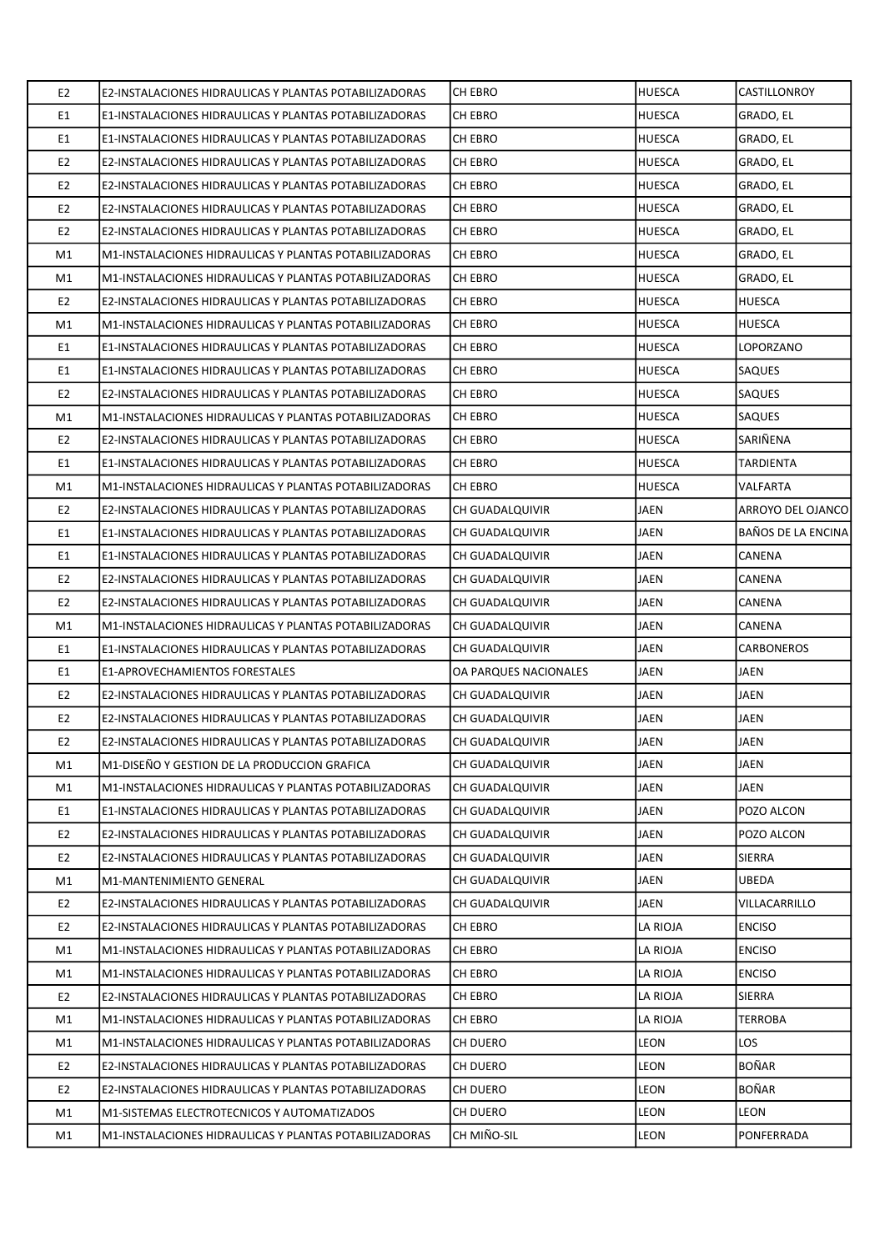| E <sub>2</sub> | E2-INSTALACIONES HIDRAULICAS Y PLANTAS POTABILIZADORAS | <b>CH EBRO</b>         | <b>HUESCA</b> | CASTILLONROY              |
|----------------|--------------------------------------------------------|------------------------|---------------|---------------------------|
| E1             | E1-INSTALACIONES HIDRAULICAS Y PLANTAS POTABILIZADORAS | CH EBRO                | HUESCA        | GRADO, EL                 |
| E1             | E1-INSTALACIONES HIDRAULICAS Y PLANTAS POTABILIZADORAS | CH EBRO                | <b>HUESCA</b> | GRADO, EL                 |
| E <sub>2</sub> | E2-INSTALACIONES HIDRAULICAS Y PLANTAS POTABILIZADORAS | CH EBRO                | HUESCA        | GRADO, EL                 |
| E <sub>2</sub> | E2-INSTALACIONES HIDRAULICAS Y PLANTAS POTABILIZADORAS | CH EBRO                | <b>HUESCA</b> | GRADO, EL                 |
| E <sub>2</sub> | E2-INSTALACIONES HIDRAULICAS Y PLANTAS POTABILIZADORAS | CH EBRO                | <b>HUESCA</b> | GRADO, EL                 |
| E <sub>2</sub> | E2-INSTALACIONES HIDRAULICAS Y PLANTAS POTABILIZADORAS | CH EBRO                | HUESCA        | GRADO, EL                 |
| M1             | M1-INSTALACIONES HIDRAULICAS Y PLANTAS POTABILIZADORAS | CH EBRO                | <b>HUESCA</b> | GRADO, EL                 |
| M1             | M1-INSTALACIONES HIDRAULICAS Y PLANTAS POTABILIZADORAS | CH EBRO                | HUESCA        | GRADO, EL                 |
| E <sub>2</sub> | E2-INSTALACIONES HIDRAULICAS Y PLANTAS POTABILIZADORAS | CH EBRO                | <b>HUESCA</b> | HUESCA                    |
| M1             | M1-INSTALACIONES HIDRAULICAS Y PLANTAS POTABILIZADORAS | CH EBRO                | HUESCA        | <b>HUESCA</b>             |
| E1             | E1-INSTALACIONES HIDRAULICAS Y PLANTAS POTABILIZADORAS | CH EBRO                | HUESCA        | LOPORZANO                 |
| E1             | E1-INSTALACIONES HIDRAULICAS Y PLANTAS POTABILIZADORAS | <b>CH EBRO</b>         | <b>HUESCA</b> | <b>SAQUES</b>             |
| E <sub>2</sub> | E2-INSTALACIONES HIDRAULICAS Y PLANTAS POTABILIZADORAS | CH EBRO                | HUESCA        | SAQUES                    |
| M1             | M1-INSTALACIONES HIDRAULICAS Y PLANTAS POTABILIZADORAS | <b>CH EBRO</b>         | <b>HUESCA</b> | <b>SAQUES</b>             |
| E <sub>2</sub> | E2-INSTALACIONES HIDRAULICAS Y PLANTAS POTABILIZADORAS | CH EBRO                | <b>HUESCA</b> | SARIÑENA                  |
| E1             | E1-INSTALACIONES HIDRAULICAS Y PLANTAS POTABILIZADORAS | CH EBRO                | HUESCA        | TARDIENTA                 |
| M1             | M1-INSTALACIONES HIDRAULICAS Y PLANTAS POTABILIZADORAS | CH EBRO                | <b>HUESCA</b> | VALFARTA                  |
| E <sub>2</sub> | E2-INSTALACIONES HIDRAULICAS Y PLANTAS POTABILIZADORAS | CH GUADALQUIVIR        | JAEN          | ARROYO DEL OJANCO         |
| E1             | E1-INSTALACIONES HIDRAULICAS Y PLANTAS POTABILIZADORAS | CH GUADALQUIVIR        | JAEN          | <b>BAÑOS DE LA ENCINA</b> |
| E1             | E1-INSTALACIONES HIDRAULICAS Y PLANTAS POTABILIZADORAS | CH GUADALQUIVIR        | JAEN          | CANENA                    |
| E <sub>2</sub> | E2-INSTALACIONES HIDRAULICAS Y PLANTAS POTABILIZADORAS | CH GUADALQUIVIR        | JAEN          | CANENA                    |
| E <sub>2</sub> | E2-INSTALACIONES HIDRAULICAS Y PLANTAS POTABILIZADORAS | CH GUADALQUIVIR        | JAEN          | CANENA                    |
| M1             | M1-INSTALACIONES HIDRAULICAS Y PLANTAS POTABILIZADORAS | CH GUADALQUIVIR        | JAEN          | CANENA                    |
| E1             | E1-INSTALACIONES HIDRAULICAS Y PLANTAS POTABILIZADORAS | CH GUADALQUIVIR        | JAEN          | CARBONEROS                |
| E1             | E1-APROVECHAMIENTOS FORESTALES                         | OA PARQUES NACIONALES  | JAEN          | JAEN                      |
| E <sub>2</sub> | E2-INSTALACIONES HIDRAULICAS Y PLANTAS POTABILIZADORAS | <b>CH GUADALQUIVIR</b> | JAEN          | JAEN                      |
| E <sub>2</sub> | E2-INSTALACIONES HIDRAULICAS Y PLANTAS POTABILIZADORAS | <b>CH GUADALQUIVIR</b> | <b>JAEN</b>   | JAEN                      |
| E <sub>2</sub> | E2-INSTALACIONES HIDRAULICAS Y PLANTAS POTABILIZADORAS | CH GUADALQUIVIR        | JAEN          | JAEN                      |
| M1             | M1-DISEÑO Y GESTION DE LA PRODUCCION GRAFICA           | CH GUADALQUIVIR        | JAEN          | JAEN                      |
| M1             | M1-INSTALACIONES HIDRAULICAS Y PLANTAS POTABILIZADORAS | CH GUADALQUIVIR        | JAEN          | JAEN                      |
| E1             | E1-INSTALACIONES HIDRAULICAS Y PLANTAS POTABILIZADORAS | CH GUADALQUIVIR        | JAEN          | POZO ALCON                |
| E <sub>2</sub> | E2-INSTALACIONES HIDRAULICAS Y PLANTAS POTABILIZADORAS | CH GUADALQUIVIR        | JAEN          | POZO ALCON                |
| E <sub>2</sub> | E2-INSTALACIONES HIDRAULICAS Y PLANTAS POTABILIZADORAS | CH GUADALQUIVIR        | JAEN          | <b>SIERRA</b>             |
| M1             | M1-MANTENIMIENTO GENERAL                               | <b>CH GUADALQUIVIR</b> | JAEN          | <b>UBEDA</b>              |
| E <sub>2</sub> | E2-INSTALACIONES HIDRAULICAS Y PLANTAS POTABILIZADORAS | CH GUADALQUIVIR        | JAEN          | VILLACARRILLO             |
| E <sub>2</sub> | E2-INSTALACIONES HIDRAULICAS Y PLANTAS POTABILIZADORAS | CH EBRO                | LA RIOJA      | <b>ENCISO</b>             |
| M1             | M1-INSTALACIONES HIDRAULICAS Y PLANTAS POTABILIZADORAS | CH EBRO                | LA RIOJA      | <b>ENCISO</b>             |
| M1             | M1-INSTALACIONES HIDRAULICAS Y PLANTAS POTABILIZADORAS | CH EBRO                | LA RIOJA      | <b>ENCISO</b>             |
| E <sub>2</sub> | E2-INSTALACIONES HIDRAULICAS Y PLANTAS POTABILIZADORAS | CH EBRO                | LA RIOJA      | <b>SIERRA</b>             |
| M1             | M1-INSTALACIONES HIDRAULICAS Y PLANTAS POTABILIZADORAS | CH EBRO                | LA RIOJA      | TERROBA                   |
| M1             | M1-INSTALACIONES HIDRAULICAS Y PLANTAS POTABILIZADORAS | CH DUERO               | LEON          | LOS                       |
| E <sub>2</sub> | E2-INSTALACIONES HIDRAULICAS Y PLANTAS POTABILIZADORAS | CH DUERO               | LEON          | BOÑAR                     |
| E <sub>2</sub> | E2-INSTALACIONES HIDRAULICAS Y PLANTAS POTABILIZADORAS | CH DUERO               | LEON          | <b>BOÑAR</b>              |
| M1             | M1-SISTEMAS ELECTROTECNICOS Y AUTOMATIZADOS            | CH DUERO               | LEON          | LEON                      |
| M1             | M1-INSTALACIONES HIDRAULICAS Y PLANTAS POTABILIZADORAS | CH MIÑO-SIL            | LEON          | PONFERRADA                |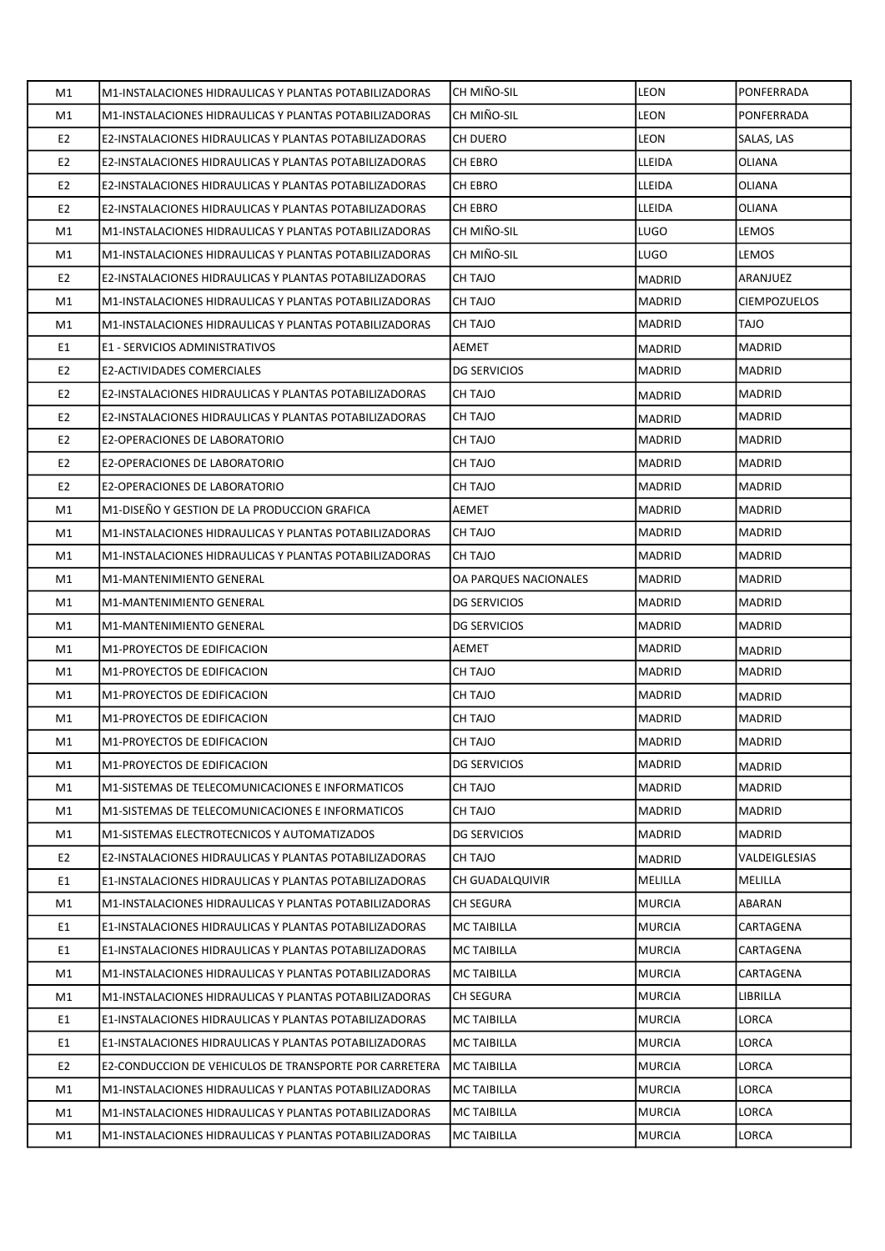| M1             | M1-INSTALACIONES HIDRAULICAS Y PLANTAS POTABILIZADORAS | CH MIÑO-SIL           | <b>LEON</b>   | PONFERRADA          |
|----------------|--------------------------------------------------------|-----------------------|---------------|---------------------|
| M1             | M1-INSTALACIONES HIDRAULICAS Y PLANTAS POTABILIZADORAS | CH MIÑO-SIL           | LEON          | PONFERRADA          |
| E <sub>2</sub> | E2-INSTALACIONES HIDRAULICAS Y PLANTAS POTABILIZADORAS | CH DUERO              | <b>LEON</b>   | SALAS, LAS          |
| E <sub>2</sub> | E2-INSTALACIONES HIDRAULICAS Y PLANTAS POTABILIZADORAS | CH EBRO               | LLEIDA        | OLIANA              |
| E <sub>2</sub> | E2-INSTALACIONES HIDRAULICAS Y PLANTAS POTABILIZADORAS | CH EBRO               | LLEIDA        | <b>OLIANA</b>       |
| E <sub>2</sub> | E2-INSTALACIONES HIDRAULICAS Y PLANTAS POTABILIZADORAS | CH EBRO               | LLEIDA        | OLIANA              |
| M1             | M1-INSTALACIONES HIDRAULICAS Y PLANTAS POTABILIZADORAS | CH MIÑO-SIL           | <b>LUGO</b>   | LEMOS               |
| M1             | M1-INSTALACIONES HIDRAULICAS Y PLANTAS POTABILIZADORAS | CH MIÑO-SIL           | <b>LUGO</b>   | LEMOS               |
| E <sub>2</sub> | E2-INSTALACIONES HIDRAULICAS Y PLANTAS POTABILIZADORAS | CH TAJO               | <b>MADRID</b> | ARANJUEZ            |
| M1             | M1-INSTALACIONES HIDRAULICAS Y PLANTAS POTABILIZADORAS | <b>CH TAJO</b>        | <b>MADRID</b> | <b>CIEMPOZUELOS</b> |
| M1             | M1-INSTALACIONES HIDRAULICAS Y PLANTAS POTABILIZADORAS | CH TAJO               | MADRID        | <b>OLAT</b>         |
| E1             | E1 - SERVICIOS ADMINISTRATIVOS                         | AEMET                 | <b>MADRID</b> | <b>MADRID</b>       |
| E <sub>2</sub> | <b>E2-ACTIVIDADES COMERCIALES</b>                      | <b>DG SERVICIOS</b>   | <b>MADRID</b> | <b>MADRID</b>       |
| E <sub>2</sub> | E2-INSTALACIONES HIDRAULICAS Y PLANTAS POTABILIZADORAS | CH TAJO               | <b>MADRID</b> | <b>MADRID</b>       |
| E <sub>2</sub> | E2-INSTALACIONES HIDRAULICAS Y PLANTAS POTABILIZADORAS | CH TAJO               | MADRID        | <b>MADRID</b>       |
| E <sub>2</sub> | E2-OPERACIONES DE LABORATORIO                          | CH TAJO               | <b>MADRID</b> | <b>MADRID</b>       |
| E <sub>2</sub> | E2-OPERACIONES DE LABORATORIO                          | CH TAJO               | MADRID        | <b>MADRID</b>       |
| E <sub>2</sub> | E2-OPERACIONES DE LABORATORIO                          | CH TAJO               | <b>MADRID</b> | <b>MADRID</b>       |
| M1             | M1-DISEÑO Y GESTION DE LA PRODUCCION GRAFICA           | AEMET                 | <b>MADRID</b> | <b>MADRID</b>       |
| M1             | M1-INSTALACIONES HIDRAULICAS Y PLANTAS POTABILIZADORAS | CH TAJO               | <b>MADRID</b> | <b>MADRID</b>       |
| M1             | M1-INSTALACIONES HIDRAULICAS Y PLANTAS POTABILIZADORAS | CH TAJO               | MADRID        | MADRID              |
| M1             | M1-MANTENIMIENTO GENERAL                               | OA PARQUES NACIONALES | MADRID        | <b>MADRID</b>       |
| M1             | M1-MANTENIMIENTO GENERAL                               | <b>DG SERVICIOS</b>   | <b>MADRID</b> | <b>MADRID</b>       |
| M1             | M1-MANTENIMIENTO GENERAL                               | <b>DG SERVICIOS</b>   | MADRID        | <b>MADRID</b>       |
| M1             | M1-PROYECTOS DE EDIFICACION                            | AEMET                 | <b>MADRID</b> | <b>MADRID</b>       |
| M1             | M1-PROYECTOS DE EDIFICACION                            | CH TAJO               | MADRID        | <b>MADRID</b>       |
| M1             | M1-PROYECTOS DE EDIFICACION                            | CH TAJO               | <b>MADRID</b> | <b>MADRID</b>       |
| M1             | M1-PROYECTOS DE EDIFICACION                            | CH TAJO               | <b>MADRID</b> | <b>MADRID</b>       |
| M1             | M1-PROYECTOS DE EDIFICACION                            | <b>CH TAJO</b>        | MADRID        | MADRID              |
| M1             | M1-PROYECTOS DE EDIFICACION                            | <b>DG SERVICIOS</b>   | MADRID        | <b>MADRID</b>       |
| M1             | M1-SISTEMAS DE TELECOMUNICACIONES E INFORMATICOS       | CH TAJO               | <b>MADRID</b> | MADRID              |
| M1             | M1-SISTEMAS DE TELECOMUNICACIONES E INFORMATICOS       | CH TAJO               | <b>MADRID</b> | MADRID              |
| M1             | M1-SISTEMAS ELECTROTECNICOS Y AUTOMATIZADOS            | <b>DG SERVICIOS</b>   | <b>MADRID</b> | MADRID              |
| E <sub>2</sub> | E2-INSTALACIONES HIDRAULICAS Y PLANTAS POTABILIZADORAS | CH TAJO               | <b>MADRID</b> | VALDEIGLESIAS       |
| E1             | E1-INSTALACIONES HIDRAULICAS Y PLANTAS POTABILIZADORAS | CH GUADALQUIVIR       | MELILLA       | MELILLA             |
| M1             | M1-INSTALACIONES HIDRAULICAS Y PLANTAS POTABILIZADORAS | CH SEGURA             | <b>MURCIA</b> | ABARAN              |
| E1             | E1-INSTALACIONES HIDRAULICAS Y PLANTAS POTABILIZADORAS | <b>MC TAIBILLA</b>    | <b>MURCIA</b> | CARTAGENA           |
| E1             | E1-INSTALACIONES HIDRAULICAS Y PLANTAS POTABILIZADORAS | <b>MC TAIBILLA</b>    | <b>MURCIA</b> | CARTAGENA           |
| M1             | M1-INSTALACIONES HIDRAULICAS Y PLANTAS POTABILIZADORAS | <b>MC TAIBILLA</b>    | <b>MURCIA</b> | CARTAGENA           |
| M1             | M1-INSTALACIONES HIDRAULICAS Y PLANTAS POTABILIZADORAS | <b>CH SEGURA</b>      | MURCIA        | LIBRILLA            |
| E1             | E1-INSTALACIONES HIDRAULICAS Y PLANTAS POTABILIZADORAS | MC TAIBILLA           | MURCIA        | LORCA               |
| E1             | E1-INSTALACIONES HIDRAULICAS Y PLANTAS POTABILIZADORAS | <b>MC TAIBILLA</b>    | <b>MURCIA</b> | LORCA               |
| E <sub>2</sub> | E2-CONDUCCION DE VEHICULOS DE TRANSPORTE POR CARRETERA | MC TAIBILLA           | <b>MURCIA</b> | LORCA               |
| M1             | M1-INSTALACIONES HIDRAULICAS Y PLANTAS POTABILIZADORAS | <b>MC TAIBILLA</b>    | <b>MURCIA</b> | LORCA               |
| M1             | M1-INSTALACIONES HIDRAULICAS Y PLANTAS POTABILIZADORAS | <b>MC TAIBILLA</b>    | MURCIA        | LORCA               |
| M1             | M1-INSTALACIONES HIDRAULICAS Y PLANTAS POTABILIZADORAS | <b>MC TAIBILLA</b>    | <b>MURCIA</b> | LORCA               |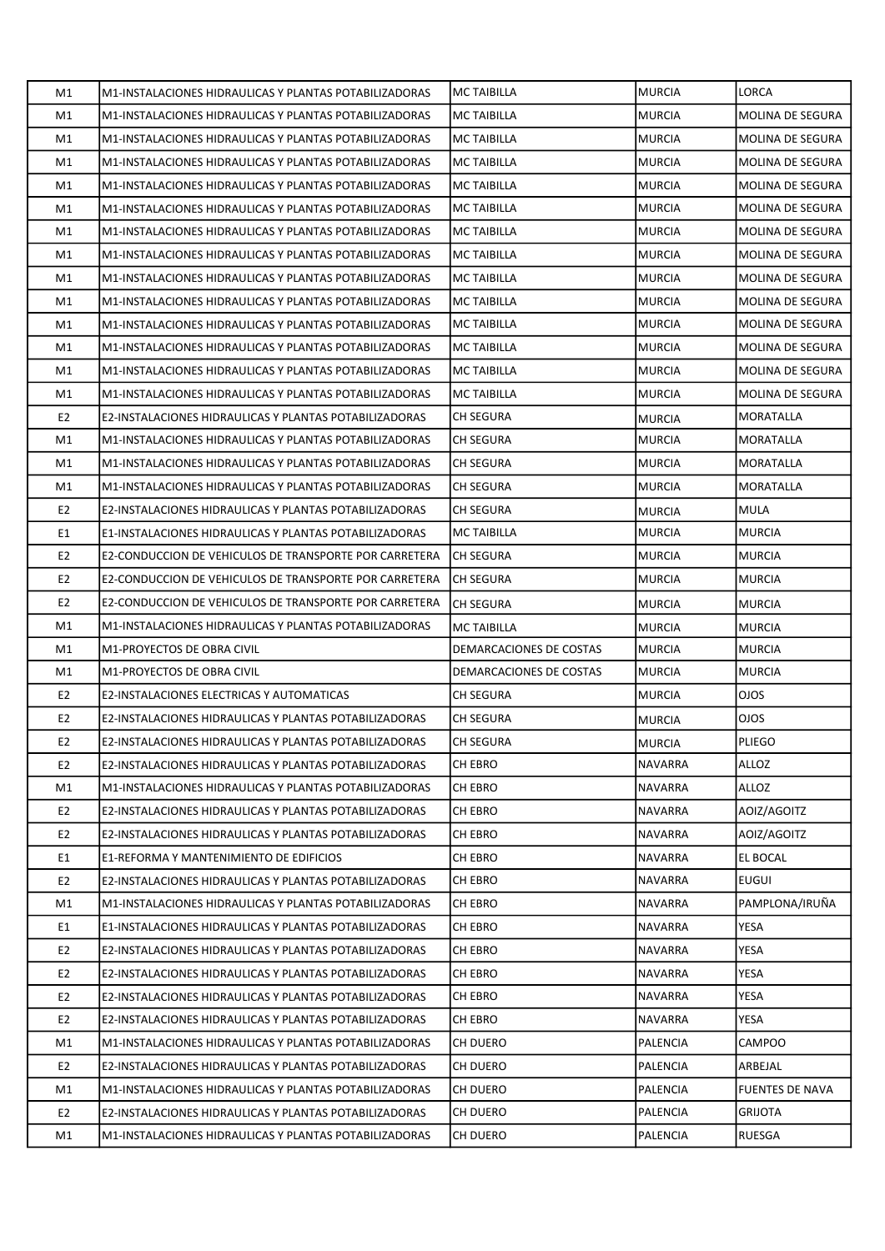| M1             | M1-INSTALACIONES HIDRAULICAS Y PLANTAS POTABILIZADORAS | <b>MC TAIBILLA</b>      | <b>MURCIA</b> | LORCA                   |
|----------------|--------------------------------------------------------|-------------------------|---------------|-------------------------|
| M1             | M1-INSTALACIONES HIDRAULICAS Y PLANTAS POTABILIZADORAS | <b>MC TAIBILLA</b>      | <b>MURCIA</b> | MOLINA DE SEGURA        |
| M1             | M1-INSTALACIONES HIDRAULICAS Y PLANTAS POTABILIZADORAS | MC TAIBILLA             | <b>MURCIA</b> | <b>MOLINA DE SEGURA</b> |
| M1             | M1-INSTALACIONES HIDRAULICAS Y PLANTAS POTABILIZADORAS | <b>MC TAIBILLA</b>      | MURCIA        | MOLINA DE SEGURA        |
| M1             | M1-INSTALACIONES HIDRAULICAS Y PLANTAS POTABILIZADORAS | <b>MC TAIBILLA</b>      | <b>MURCIA</b> | MOLINA DE SEGURA        |
| M1             | M1-INSTALACIONES HIDRAULICAS Y PLANTAS POTABILIZADORAS | <b>MC TAIBILLA</b>      | <b>MURCIA</b> | MOLINA DE SEGURA        |
| M1             | M1-INSTALACIONES HIDRAULICAS Y PLANTAS POTABILIZADORAS | <b>MC TAIBILLA</b>      | <b>MURCIA</b> | MOLINA DE SEGURA        |
| M1             | M1-INSTALACIONES HIDRAULICAS Y PLANTAS POTABILIZADORAS | <b>MC TAIBILLA</b>      | <b>MURCIA</b> | <b>MOLINA DE SEGURA</b> |
| M1             | M1-INSTALACIONES HIDRAULICAS Y PLANTAS POTABILIZADORAS | <b>MC TAIBILLA</b>      | MURCIA        | MOLINA DE SEGURA        |
| M1             | M1-INSTALACIONES HIDRAULICAS Y PLANTAS POTABILIZADORAS | <b>MC TAIBILLA</b>      | <b>MURCIA</b> | MOLINA DE SEGURA        |
| M1             | M1-INSTALACIONES HIDRAULICAS Y PLANTAS POTABILIZADORAS | <b>MC TAIBILLA</b>      | <b>MURCIA</b> | MOLINA DE SEGURA        |
| M1             | M1-INSTALACIONES HIDRAULICAS Y PLANTAS POTABILIZADORAS | <b>MC TAIBILLA</b>      | <b>MURCIA</b> | MOLINA DE SEGURA        |
| M1             | M1-INSTALACIONES HIDRAULICAS Y PLANTAS POTABILIZADORAS | <b>MC TAIBILLA</b>      | <b>MURCIA</b> | <b>MOLINA DE SEGURA</b> |
| M1             | M1-INSTALACIONES HIDRAULICAS Y PLANTAS POTABILIZADORAS | <b>MC TAIBILLA</b>      | <b>MURCIA</b> | <b>MOLINA DE SEGURA</b> |
| E <sub>2</sub> | E2-INSTALACIONES HIDRAULICAS Y PLANTAS POTABILIZADORAS | <b>CH SEGURA</b>        | <b>MURCIA</b> | MORATALLA               |
| M1             | M1-INSTALACIONES HIDRAULICAS Y PLANTAS POTABILIZADORAS | <b>CH SEGURA</b>        | MURCIA        | MORATALLA               |
| M1             | M1-INSTALACIONES HIDRAULICAS Y PLANTAS POTABILIZADORAS | <b>CH SEGURA</b>        | <b>MURCIA</b> | MORATALLA               |
| M1             | M1-INSTALACIONES HIDRAULICAS Y PLANTAS POTABILIZADORAS | CH SEGURA               | <b>MURCIA</b> | MORATALLA               |
| E <sub>2</sub> | E2-INSTALACIONES HIDRAULICAS Y PLANTAS POTABILIZADORAS | CH SEGURA               | <b>MURCIA</b> | MULA                    |
| E1             | E1-INSTALACIONES HIDRAULICAS Y PLANTAS POTABILIZADORAS | <b>MC TAIBILLA</b>      | <b>MURCIA</b> | <b>MURCIA</b>           |
| E <sub>2</sub> | E2-CONDUCCION DE VEHICULOS DE TRANSPORTE POR CARRETERA | CH SEGURA               | MURCIA        | <b>MURCIA</b>           |
| E <sub>2</sub> | E2-CONDUCCION DE VEHICULOS DE TRANSPORTE POR CARRETERA | CH SEGURA               | <b>MURCIA</b> | <b>MURCIA</b>           |
| E <sub>2</sub> | E2-CONDUCCION DE VEHICULOS DE TRANSPORTE POR CARRETERA | <b>CH SEGURA</b>        | <b>MURCIA</b> | <b>MURCIA</b>           |
| M1             | M1-INSTALACIONES HIDRAULICAS Y PLANTAS POTABILIZADORAS | <b>MC TAIBILLA</b>      | <b>MURCIA</b> | <b>MURCIA</b>           |
| M1             | M1-PROYECTOS DE OBRA CIVIL                             | DEMARCACIONES DE COSTAS | MURCIA        | MURCIA                  |
| M1             | <b>M1-PROYECTOS DE OBRA CIVIL</b>                      | DEMARCACIONES DE COSTAS | <b>MURCIA</b> | <b>MURCIA</b>           |
| E <sub>2</sub> | E2-INSTALACIONES ELECTRICAS Y AUTOMATICAS              | <b>CH SEGURA</b>        | <b>MURCIA</b> | <b>OJOS</b>             |
| E <sub>2</sub> | E2-INSTALACIONES HIDRAULICAS Y PLANTAS POTABILIZADORAS | CH SEGURA               | <b>MURCIA</b> | <b>OJOS</b>             |
| E <sub>2</sub> | E2-INSTALACIONES HIDRAULICAS Y PLANTAS POTABILIZADORAS | CH SEGURA               | MURCIA        | PLIEGO                  |
| E <sub>2</sub> | E2-INSTALACIONES HIDRAULICAS Y PLANTAS POTABILIZADORAS | CH EBRO                 | NAVARRA       | ALLOZ                   |
| M1             | M1-INSTALACIONES HIDRAULICAS Y PLANTAS POTABILIZADORAS | CH EBRO                 | NAVARRA       | ALLOZ                   |
| E <sub>2</sub> | E2-INSTALACIONES HIDRAULICAS Y PLANTAS POTABILIZADORAS | CH EBRO                 | NAVARRA       | AOIZ/AGOITZ             |
| E <sub>2</sub> | E2-INSTALACIONES HIDRAULICAS Y PLANTAS POTABILIZADORAS | CH EBRO                 | NAVARRA       | AOIZ/AGOITZ             |
| E1             | E1-REFORMA Y MANTENIMIENTO DE EDIFICIOS                | CH EBRO                 | NAVARRA       | EL BOCAL                |
| E <sub>2</sub> | E2-INSTALACIONES HIDRAULICAS Y PLANTAS POTABILIZADORAS | CH EBRO                 | NAVARRA       | <b>EUGUI</b>            |
| M1             | M1-INSTALACIONES HIDRAULICAS Y PLANTAS POTABILIZADORAS | CH EBRO                 | NAVARRA       | PAMPLONA/IRUÑA          |
| E1             | E1-INSTALACIONES HIDRAULICAS Y PLANTAS POTABILIZADORAS | CH EBRO                 | NAVARRA       | YESA                    |
| E <sub>2</sub> | E2-INSTALACIONES HIDRAULICAS Y PLANTAS POTABILIZADORAS | CH EBRO                 | NAVARRA       | YESA                    |
| E <sub>2</sub> | E2-INSTALACIONES HIDRAULICAS Y PLANTAS POTABILIZADORAS | CH EBRO                 | NAVARRA       | YESA                    |
| E <sub>2</sub> | E2-INSTALACIONES HIDRAULICAS Y PLANTAS POTABILIZADORAS | CH EBRO                 | NAVARRA       | YESA                    |
| E <sub>2</sub> | E2-INSTALACIONES HIDRAULICAS Y PLANTAS POTABILIZADORAS | CH EBRO                 | NAVARRA       | YESA                    |
| M1             | M1-INSTALACIONES HIDRAULICAS Y PLANTAS POTABILIZADORAS | CH DUERO                | PALENCIA      | CAMPOO                  |
| E <sub>2</sub> | E2-INSTALACIONES HIDRAULICAS Y PLANTAS POTABILIZADORAS | CH DUERO                | PALENCIA      | ARBEJAL                 |
| M1             | M1-INSTALACIONES HIDRAULICAS Y PLANTAS POTABILIZADORAS | CH DUERO                | PALENCIA      | <b>FUENTES DE NAVA</b>  |
| E <sub>2</sub> | E2-INSTALACIONES HIDRAULICAS Y PLANTAS POTABILIZADORAS | CH DUERO                | PALENCIA      | <b>GRIJOTA</b>          |
| M1             | M1-INSTALACIONES HIDRAULICAS Y PLANTAS POTABILIZADORAS | CH DUERO                | PALENCIA      | RUESGA                  |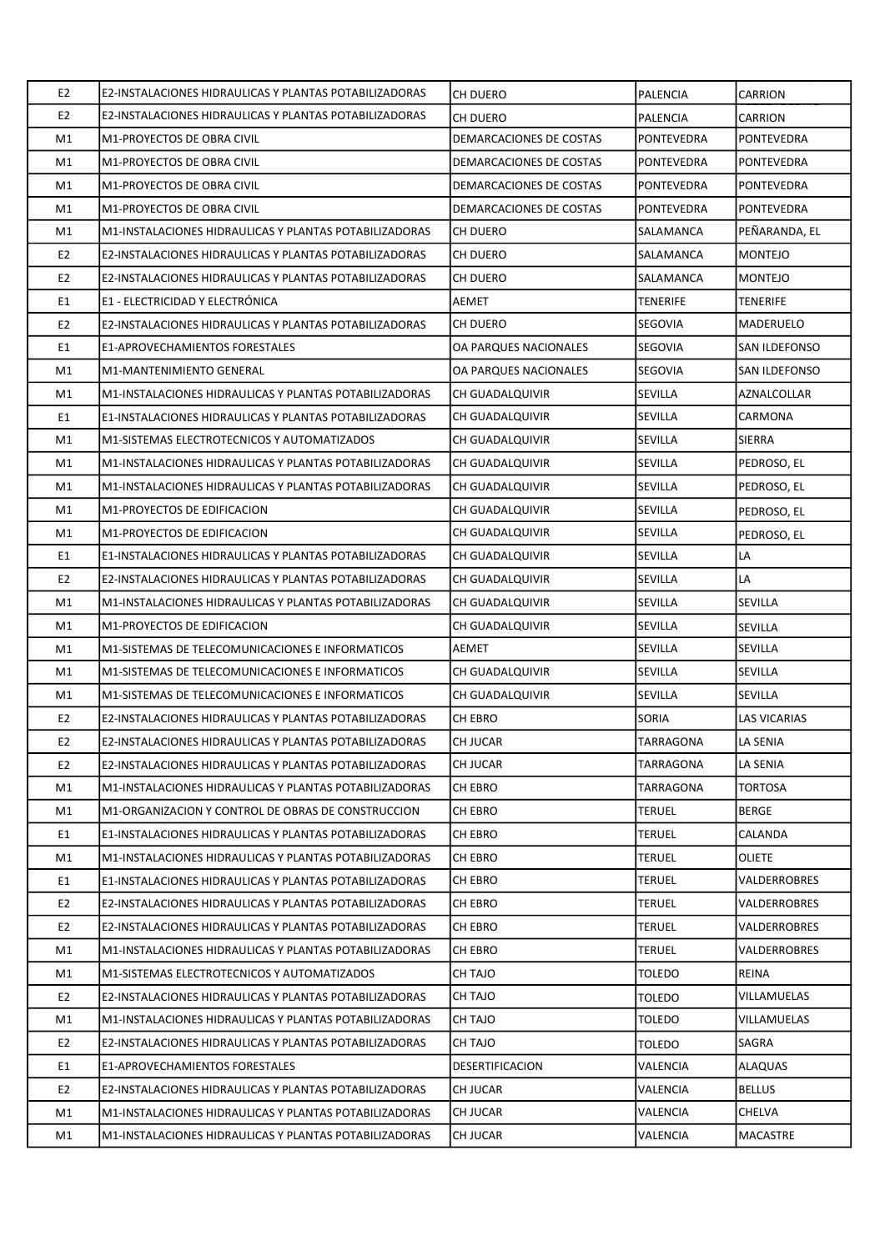| E <sub>2</sub> | E2-INSTALACIONES HIDRAULICAS Y PLANTAS POTABILIZADORAS | CH DUERO                | <b>PALENCIA</b>   | CARRION              |
|----------------|--------------------------------------------------------|-------------------------|-------------------|----------------------|
| E <sub>2</sub> | E2-INSTALACIONES HIDRAULICAS Y PLANTAS POTABILIZADORAS | CH DUERO                | <b>PALENCIA</b>   | <b>CARRION</b>       |
| M1             | M1-PROYECTOS DE OBRA CIVIL                             | DEMARCACIONES DE COSTAS | <b>PONTEVEDRA</b> | PONTEVEDRA           |
| M1             | M1-PROYECTOS DE OBRA CIVIL                             | DEMARCACIONES DE COSTAS | PONTEVEDRA        | PONTEVEDRA           |
| M1             | M1-PROYECTOS DE OBRA CIVIL                             | DEMARCACIONES DE COSTAS | <b>PONTEVEDRA</b> | <b>PONTEVEDRA</b>    |
| M1             | M1-PROYECTOS DE OBRA CIVIL                             | DEMARCACIONES DE COSTAS | <b>PONTEVEDRA</b> | PONTEVEDRA           |
| M1             | M1-INSTALACIONES HIDRAULICAS Y PLANTAS POTABILIZADORAS | CH DUERO                | SALAMANCA         | PEÑARANDA, EL        |
| E <sub>2</sub> | E2-INSTALACIONES HIDRAULICAS Y PLANTAS POTABILIZADORAS | CH DUERO                | SALAMANCA         | <b>MONTEJO</b>       |
| E <sub>2</sub> | E2-INSTALACIONES HIDRAULICAS Y PLANTAS POTABILIZADORAS | CH DUERO                | SALAMANCA         | <b>MONTEJO</b>       |
| E1             | E1 - ELECTRICIDAD Y ELECTRÓNICA                        | AEMET                   | <b>TENERIFE</b>   | TENERIFE             |
| E <sub>2</sub> | E2-INSTALACIONES HIDRAULICAS Y PLANTAS POTABILIZADORAS | CH DUERO                | SEGOVIA           | MADERUELO            |
| E1             | <b>E1-APROVECHAMIENTOS FORESTALES</b>                  | OA PARQUES NACIONALES   | <b>SEGOVIA</b>    | <b>SAN ILDEFONSO</b> |
| M1             | M1-MANTENIMIENTO GENERAL                               | OA PARQUES NACIONALES   | SEGOVIA           | SAN ILDEFONSO        |
| M1             | M1-INSTALACIONES HIDRAULICAS Y PLANTAS POTABILIZADORAS | CH GUADALQUIVIR         | <b>SEVILLA</b>    | AZNALCOLLAR          |
| E1             | E1-INSTALACIONES HIDRAULICAS Y PLANTAS POTABILIZADORAS | CH GUADALQUIVIR         | <b>SEVILLA</b>    | CARMONA              |
| M1             | M1-SISTEMAS ELECTROTECNICOS Y AUTOMATIZADOS            | CH GUADALQUIVIR         | <b>SEVILLA</b>    | <b>SIERRA</b>        |
| M1             | M1-INSTALACIONES HIDRAULICAS Y PLANTAS POTABILIZADORAS | CH GUADALQUIVIR         | <b>SEVILLA</b>    | PEDROSO, EL          |
| M1             | M1-INSTALACIONES HIDRAULICAS Y PLANTAS POTABILIZADORAS | CH GUADALQUIVIR         | <b>SEVILLA</b>    | PEDROSO, EL          |
| M1             | M1-PROYECTOS DE EDIFICACION                            | CH GUADALQUIVIR         | <b>SEVILLA</b>    | PEDROSO, EL          |
| M1             | M1-PROYECTOS DE EDIFICACION                            | CH GUADALQUIVIR         | <b>SEVILLA</b>    | PEDROSO, EL          |
| E1             | E1-INSTALACIONES HIDRAULICAS Y PLANTAS POTABILIZADORAS | CH GUADALQUIVIR         | <b>SEVILLA</b>    | LA                   |
| E <sub>2</sub> | E2-INSTALACIONES HIDRAULICAS Y PLANTAS POTABILIZADORAS | CH GUADALQUIVIR         | <b>SEVILLA</b>    | LA                   |
| M1             | M1-INSTALACIONES HIDRAULICAS Y PLANTAS POTABILIZADORAS | CH GUADALQUIVIR         | <b>SEVILLA</b>    | SEVILLA              |
| M1             | M1-PROYECTOS DE EDIFICACION                            | CH GUADALQUIVIR         | <b>SEVILLA</b>    | SEVILLA              |
| M1             | M1-SISTEMAS DE TELECOMUNICACIONES E INFORMATICOS       | <b>AEMET</b>            | <b>SEVILLA</b>    | SEVILLA              |
| M1             | M1-SISTEMAS DE TELECOMUNICACIONES E INFORMATICOS       | CH GUADALQUIVIR         | <b>SEVILLA</b>    | SEVILLA              |
| M1             | M1-SISTEMAS DE TELECOMUNICACIONES E INFORMATICOS       | CH GUADALQUIVIR         | <b>SEVILLA</b>    | <b>SEVILLA</b>       |
| E <sub>2</sub> | E2-INSTALACIONES HIDRAULICAS Y PLANTAS POTABILIZADORAS | CH EBRO                 | SORIA             | <b>LAS VICARIAS</b>  |
| E <sub>2</sub> | E2-INSTALACIONES HIDRAULICAS Y PLANTAS POTABILIZADORAS | CH JUCAR                | <b>TARRAGONA</b>  | LA SENIA             |
| E <sub>2</sub> | E2-INSTALACIONES HIDRAULICAS Y PLANTAS POTABILIZADORAS | CH JUCAR                | TARRAGONA         | LA SENIA             |
| M1             | M1-INSTALACIONES HIDRAULICAS Y PLANTAS POTABILIZADORAS | CH EBRO                 | TARRAGONA         | TORTOSA              |
| M1             | M1-ORGANIZACION Y CONTROL DE OBRAS DE CONSTRUCCION     | CH EBRO                 | <b>TERUEL</b>     | <b>BERGE</b>         |
| E1             | E1-INSTALACIONES HIDRAULICAS Y PLANTAS POTABILIZADORAS | CH EBRO                 | <b>TERUEL</b>     | CALANDA              |
| M1             | M1-INSTALACIONES HIDRAULICAS Y PLANTAS POTABILIZADORAS | CH EBRO                 | <b>TERUEL</b>     | OLIETE               |
| E1             | E1-INSTALACIONES HIDRAULICAS Y PLANTAS POTABILIZADORAS | CH EBRO                 | <b>TERUEL</b>     | VALDERROBRES         |
| E <sub>2</sub> | E2-INSTALACIONES HIDRAULICAS Y PLANTAS POTABILIZADORAS | CH EBRO                 | TERUEL            | VALDERROBRES         |
| E <sub>2</sub> | E2-INSTALACIONES HIDRAULICAS Y PLANTAS POTABILIZADORAS | CH EBRO                 | <b>TERUEL</b>     | VALDERROBRES         |
| M1             | M1-INSTALACIONES HIDRAULICAS Y PLANTAS POTABILIZADORAS | CH EBRO                 | <b>TERUEL</b>     | VALDERROBRES         |
| M1             | M1-SISTEMAS ELECTROTECNICOS Y AUTOMATIZADOS            | CH TAJO                 | <b>TOLEDO</b>     | REINA                |
| E <sub>2</sub> | E2-INSTALACIONES HIDRAULICAS Y PLANTAS POTABILIZADORAS | CH TAJO                 | <b>TOLEDO</b>     | VILLAMUELAS          |
| M1             | M1-INSTALACIONES HIDRAULICAS Y PLANTAS POTABILIZADORAS | CH TAJO                 | <b>TOLEDO</b>     | VILLAMUELAS          |
| E <sub>2</sub> | E2-INSTALACIONES HIDRAULICAS Y PLANTAS POTABILIZADORAS | CH TAJO                 | <b>TOLEDO</b>     | SAGRA                |
| E1             | E1-APROVECHAMIENTOS FORESTALES                         | DESERTIFICACION         | VALENCIA          | ALAQUAS              |
| E <sub>2</sub> | E2-INSTALACIONES HIDRAULICAS Y PLANTAS POTABILIZADORAS | CH JUCAR                | VALENCIA          | <b>BELLUS</b>        |
| M1             | M1-INSTALACIONES HIDRAULICAS Y PLANTAS POTABILIZADORAS | CH JUCAR                | VALENCIA          | CHELVA               |
| M1             | M1-INSTALACIONES HIDRAULICAS Y PLANTAS POTABILIZADORAS | CH JUCAR                | VALENCIA          | MACASTRE             |
|                |                                                        |                         |                   |                      |